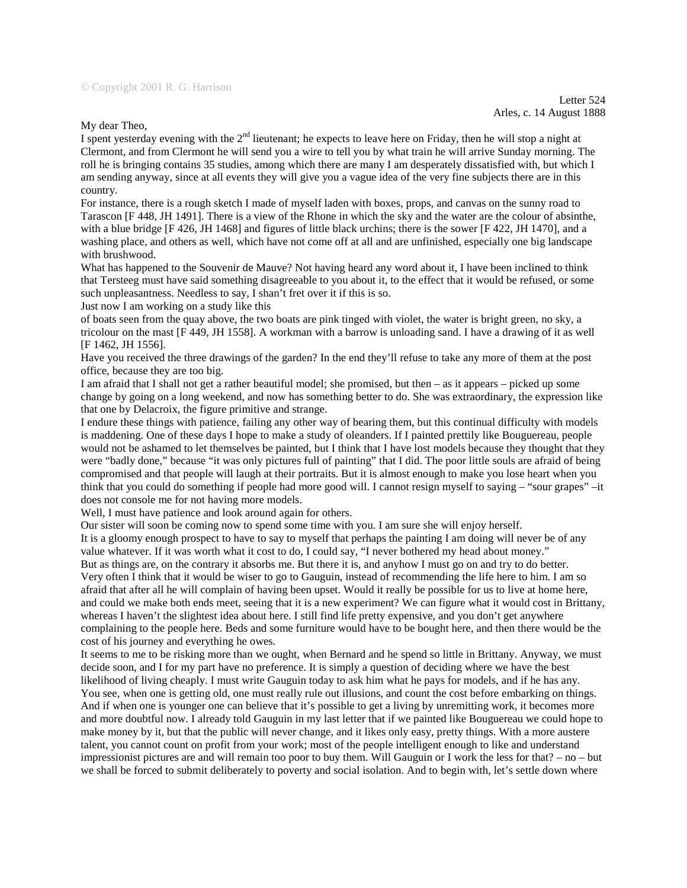My dear Theo,

I spent yesterday evening with the  $2<sup>nd</sup>$  lieutenant; he expects to leave here on Friday, then he will stop a night at Clermont, and from Clermont he will send you a wire to tell you by what train he will arrive Sunday morning. The roll he is bringing contains 35 studies, among which there are many I am desperately dissatisfied with, but which I am sending anyway, since at all events they will give you a vague idea of the very fine subjects there are in this country.

For instance, there is a rough sketch I made of myself laden with boxes, props, and canvas on the sunny road to Tarascon [F 448, JH 1491]. There is a view of the Rhone in which the sky and the water are the colour of absinthe, with a blue bridge [F 426, JH 1468] and figures of little black urchins; there is the sower [F 422, JH 1470], and a washing place, and others as well, which have not come off at all and are unfinished, especially one big landscape with brushwood.

What has happened to the Souvenir de Mauve? Not having heard any word about it, I have been inclined to think that Tersteeg must have said something disagreeable to you about it, to the effect that it would be refused, or some such unpleasantness. Needless to say, I shan't fret over it if this is so.

Just now I am working on a study like this

of boats seen from the quay above, the two boats are pink tinged with violet, the water is bright green, no sky, a tricolour on the mast [F 449, JH 1558]. A workman with a barrow is unloading sand. I have a drawing of it as well [F 1462, JH 1556].

Have you received the three drawings of the garden? In the end they'll refuse to take any more of them at the post office, because they are too big.

I am afraid that I shall not get a rather beautiful model; she promised, but then – as it appears – picked up some change by going on a long weekend, and now has something better to do. She was extraordinary, the expression like that one by Delacroix, the figure primitive and strange.

I endure these things with patience, failing any other way of bearing them, but this continual difficulty with models is maddening. One of these days I hope to make a study of oleanders. If I painted prettily like Bouguereau, people would not be ashamed to let themselves be painted, but I think that I have lost models because they thought that they were "badly done," because "it was only pictures full of painting" that I did. The poor little souls are afraid of being compromised and that people will laugh at their portraits. But it is almost enough to make you lose heart when you think that you could do something if people had more good will. I cannot resign myself to saying – "sour grapes" –it does not console me for not having more models.

Well, I must have patience and look around again for others.

Our sister will soon be coming now to spend some time with you. I am sure she will enjoy herself. It is a gloomy enough prospect to have to say to myself that perhaps the painting I am doing will never be of any value whatever. If it was worth what it cost to do, I could say, "I never bothered my head about money."

But as things are, on the contrary it absorbs me. But there it is, and anyhow I must go on and try to do better. Very often I think that it would be wiser to go to Gauguin, instead of recommending the life here to him. I am so afraid that after all he will complain of having been upset. Would it really be possible for us to live at home here, and could we make both ends meet, seeing that it is a new experiment? We can figure what it would cost in Brittany, whereas I haven't the slightest idea about here. I still find life pretty expensive, and you don't get anywhere complaining to the people here. Beds and some furniture would have to be bought here, and then there would be the cost of his journey and everything he owes.

It seems to me to be risking more than we ought, when Bernard and he spend so little in Brittany. Anyway, we must decide soon, and I for my part have no preference. It is simply a question of deciding where we have the best likelihood of living cheaply. I must write Gauguin today to ask him what he pays for models, and if he has any. You see, when one is getting old, one must really rule out illusions, and count the cost before embarking on things. And if when one is younger one can believe that it's possible to get a living by unremitting work, it becomes more and more doubtful now. I already told Gauguin in my last letter that if we painted like Bouguereau we could hope to make money by it, but that the public will never change, and it likes only easy, pretty things. With a more austere talent, you cannot count on profit from your work; most of the people intelligent enough to like and understand impressionist pictures are and will remain too poor to buy them. Will Gauguin or I work the less for that? – no – but we shall be forced to submit deliberately to poverty and social isolation. And to begin with, let's settle down where